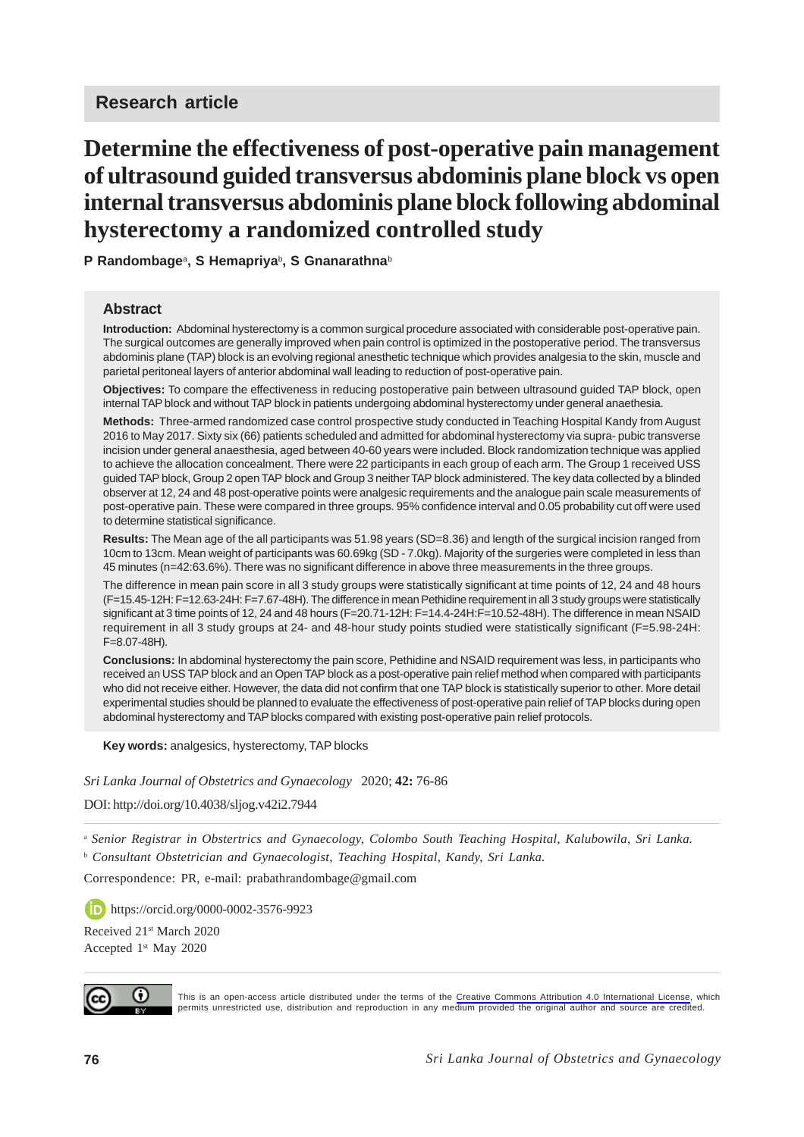# **Determine the effectiveness of post-operative pain management of ultrasound guided transversus abdominis plane block vs open internal transversus abdominis plane block following abdominal hysterectomy a randomized controlled study**

**P Randombage**<sup>a</sup> **, S Hemapriya**<sup>b</sup> **, S Gnanarathna**<sup>b</sup>

#### **Abstract**

**Introduction:** Abdominal hysterectomy is a common surgical procedure associated with considerable post-operative pain. The surgical outcomes are generally improved when pain control is optimized in the postoperative period. The transversus abdominis plane (TAP) block is an evolving regional anesthetic technique which provides analgesia to the skin, muscle and parietal peritoneal layers of anterior abdominal wall leading to reduction of post-operative pain.

**Objectives:** To compare the effectiveness in reducing postoperative pain between ultrasound guided TAP block, open internal TAP block and without TAP block in patients undergoing abdominal hysterectomy under general anaethesia.

**Methods:** Three-armed randomized case control prospective study conducted in Teaching Hospital Kandy from August 2016 to May 2017. Sixty six (66) patients scheduled and admitted for abdominal hysterectomy via supra- pubic transverse incision under general anaesthesia, aged between 40-60 years were included. Block randomization technique was applied to achieve the allocation concealment. There were 22 participants in each group of each arm. The Group 1 received USS guided TAP block, Group 2 open TAP block and Group 3 neither TAP block administered. The key data collected by a blinded observer at 12, 24 and 48 post-operative points were analgesic requirements and the analogue pain scale measurements of post-operative pain. These were compared in three groups. 95% confidence interval and 0.05 probability cut off were used to determine statistical significance.

**Results:** The Mean age of the all participants was 51.98 years (SD=8.36) and length of the surgical incision ranged from 10cm to 13cm. Mean weight of participants was 60.69kg (SD - 7.0kg). Majority of the surgeries were completed in less than 45 minutes (n=42:63.6%). There was no significant difference in above three measurements in the three groups.

The difference in mean pain score in all 3 study groups were statistically significant at time points of 12, 24 and 48 hours (F=15.45-12H: F=12.63-24H: F=7.67-48H). The difference in mean Pethidine requirement in all 3 study groups were statistically significant at 3 time points of 12, 24 and 48 hours (F=20.71-12H: F=14.4-24H:F=10.52-48H). The difference in mean NSAID requirement in all 3 study groups at 24- and 48-hour study points studied were statistically significant (F=5.98-24H: F=8.07-48H).

**Conclusions:** In abdominal hysterectomy the pain score, Pethidine and NSAID requirement was less, in participants who received an USS TAP block and an Open TAP block as a post-operative pain relief method when compared with participants who did not receive either. However, the data did not confirm that one TAP block is statistically superior to other. More detail experimental studies should be planned to evaluate the effectiveness of post-operative pain relief of TAP blocks during open abdominal hysterectomy and TAP blocks compared with existing post-operative pain relief protocols.

**Key words:** analgesics, hysterectomy, TAP blocks

*Sri Lanka Journal of Obstetrics and Gynaecology* 2020; **42:** 76-86

DOI: http://doi.org/10.4038/sljog.v42i2.7944

<sup>a</sup> *Senior Registrar in Obstertrics and Gynaecology, Colombo South Teaching Hospital, Kalubowila, Sri Lanka.* <sup>b</sup> Consultant Obstetrician and Gynaecologist, Teaching Hospital, Kandy, Sri Lanka.

Correspondence: PR, e-mail: prabathrandombage@gmail.com

https://orcid.org/0000-0002-3576-9923

Received 21<sup>st</sup> March 2020 Accepted 1<sup>st</sup> May 2020



This is an open-access article distributed under the terms of the [Creative Commons Attribution 4.0 International License,](https://creativecommons.org/licenses/by/4.0/) which permits unrestricted use, distribution and reproduction in any medium provided the original author and source are credited.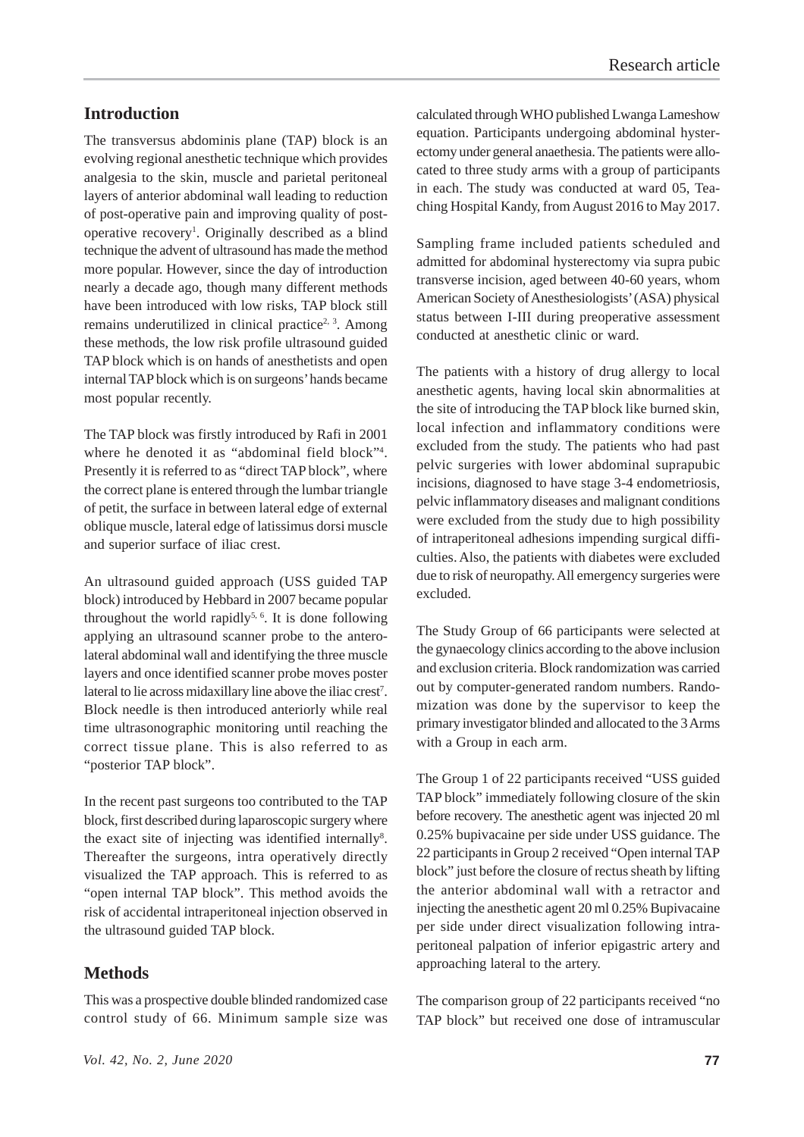## **Introduction**

The transversus abdominis plane (TAP) block is an evolving regional anesthetic technique which provides analgesia to the skin, muscle and parietal peritoneal layers of anterior abdominal wall leading to reduction of post-operative pain and improving quality of postoperative recovery<sup>1</sup>. Originally described as a blind technique the advent of ultrasound has made the method more popular. However, since the day of introduction nearly a decade ago, though many different methods have been introduced with low risks, TAP block still remains underutilized in clinical practice<sup>2, 3</sup>. Among these methods, the low risk profile ultrasound guided TAP block which is on hands of anesthetists and open internal TAP block which is on surgeons' hands became most popular recently.

The TAP block was firstly introduced by Rafi in 2001 where he denoted it as "abdominal field block"4 . Presently it is referred to as "direct TAP block", where the correct plane is entered through the lumbar triangle of petit, the surface in between lateral edge of external oblique muscle, lateral edge of latissimus dorsi muscle and superior surface of iliac crest.

An ultrasound guided approach (USS guided TAP block) introduced by Hebbard in 2007 became popular throughout the world rapidly<sup>5, 6</sup>. It is done following applying an ultrasound scanner probe to the anterolateral abdominal wall and identifying the three muscle layers and once identified scanner probe moves poster lateral to lie across midaxillary line above the iliac crest<sup>7</sup>. Block needle is then introduced anteriorly while real time ultrasonographic monitoring until reaching the correct tissue plane. This is also referred to as "posterior TAP block".

In the recent past surgeons too contributed to the TAP block, first described during laparoscopic surgery where the exact site of injecting was identified internally<sup>8</sup>. Thereafter the surgeons, intra operatively directly visualized the TAP approach. This is referred to as "open internal TAP block". This method avoids the risk of accidental intraperitoneal injection observed in the ultrasound guided TAP block.

#### **Methods**

calculated through WHO published Lwanga Lameshow equation. Participants undergoing abdominal hysterectomy under general anaethesia. The patients were allocated to three study arms with a group of participants in each. The study was conducted at ward 05, Teaching Hospital Kandy, from August 2016 to May 2017.

Sampling frame included patients scheduled and admitted for abdominal hysterectomy via supra pubic transverse incision, aged between 40-60 years, whom American Society of Anesthesiologists' (ASA) physical status between I-III during preoperative assessment conducted at anesthetic clinic or ward.

The patients with a history of drug allergy to local anesthetic agents, having local skin abnormalities at the site of introducing the TAP block like burned skin, local infection and inflammatory conditions were excluded from the study. The patients who had past pelvic surgeries with lower abdominal suprapubic incisions, diagnosed to have stage 3-4 endometriosis, pelvic inflammatory diseases and malignant conditions were excluded from the study due to high possibility of intraperitoneal adhesions impending surgical difficulties. Also, the patients with diabetes were excluded due to risk of neuropathy. All emergency surgeries were excluded.

The Study Group of 66 participants were selected at the gynaecology clinics according to the above inclusion and exclusion criteria. Block randomization was carried out by computer-generated random numbers. Randomization was done by the supervisor to keep the primary investigator blinded and allocated to the 3 Arms with a Group in each arm.

The Group 1 of 22 participants received "USS guided TAP block" immediately following closure of the skin before recovery. The anesthetic agent was injected 20 ml 0.25% bupivacaine per side under USS guidance. The 22 participants in Group 2 received "Open internal TAP block" just before the closure of rectus sheath by lifting the anterior abdominal wall with a retractor and injecting the anesthetic agent 20 ml 0.25% Bupivacaine per side under direct visualization following intraperitoneal palpation of inferior epigastric artery and approaching lateral to the artery.

The comparison group of 22 participants received "no TAP block" but received one dose of intramuscular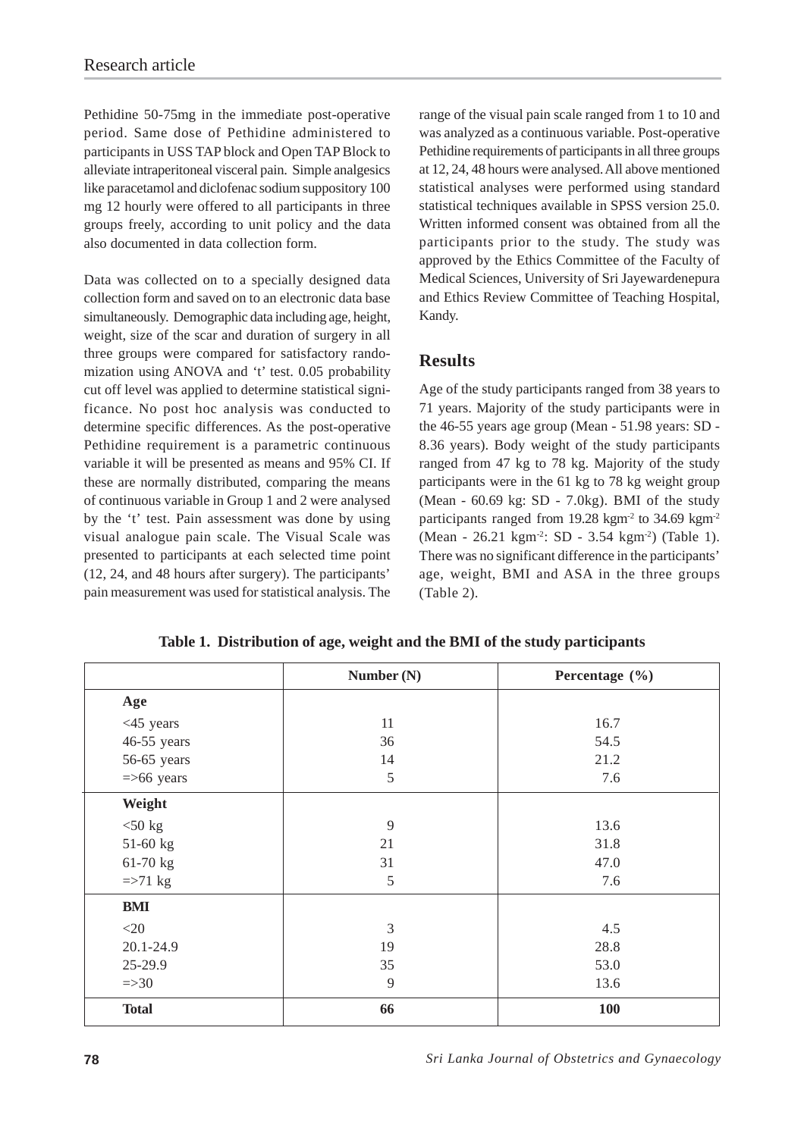Pethidine 50-75mg in the immediate post-operative period. Same dose of Pethidine administered to participants in USS TAP block and Open TAP Block to alleviate intraperitoneal visceral pain. Simple analgesics like paracetamol and diclofenac sodium suppository 100 mg 12 hourly were offered to all participants in three groups freely, according to unit policy and the data also documented in data collection form.

Data was collected on to a specially designed data collection form and saved on to an electronic data base simultaneously. Demographic data including age, height, weight, size of the scar and duration of surgery in all three groups were compared for satisfactory randomization using ANOVA and 't' test. 0.05 probability cut off level was applied to determine statistical significance. No post hoc analysis was conducted to determine specific differences. As the post-operative Pethidine requirement is a parametric continuous variable it will be presented as means and 95% CI. If these are normally distributed, comparing the means of continuous variable in Group 1 and 2 were analysed by the 't' test. Pain assessment was done by using visual analogue pain scale. The Visual Scale was presented to participants at each selected time point (12, 24, and 48 hours after surgery). The participants' pain measurement was used for statistical analysis. The

range of the visual pain scale ranged from 1 to 10 and was analyzed as a continuous variable. Post-operative Pethidine requirements of participants in all three groups at 12, 24, 48 hours were analysed. All above mentioned statistical analyses were performed using standard statistical techniques available in SPSS version 25.0. Written informed consent was obtained from all the participants prior to the study. The study was approved by the Ethics Committee of the Faculty of Medical Sciences, University of Sri Jayewardenepura and Ethics Review Committee of Teaching Hospital, Kandy.

## **Results**

Age of the study participants ranged from 38 years to 71 years. Majority of the study participants were in the 46-55 years age group (Mean - 51.98 years: SD - 8.36 years). Body weight of the study participants ranged from 47 kg to 78 kg. Majority of the study participants were in the 61 kg to 78 kg weight group (Mean - 60.69 kg: SD - 7.0kg). BMI of the study participants ranged from  $19.28 \text{ kg} \text{m}^2$  to  $34.69 \text{ kg} \text{m}^2$ (Mean - 26.21 kgm-2: SD - 3.54 kgm-2) (Table 1). There was no significant difference in the participants' age, weight, BMI and ASA in the three groups (Table 2).

|                  | Number $(N)$ | Percentage $(\% )$ |
|------------------|--------------|--------------------|
| Age              |              |                    |
| $<$ 45 years     | 11           | 16.7               |
| 46-55 years      | 36           | 54.5               |
| 56-65 years      | 14           | 21.2               |
| $=$ >66 years    | 5            | 7.6                |
| Weight           |              |                    |
| $<$ 50 kg        | 9            | 13.6               |
| $51-60$ kg       | 21           | 31.8               |
| 61-70 kg         | 31           | 47.0               |
| $\approx$ 71 kg  | 5            | 7.6                |
| <b>BMI</b>       |              |                    |
| $<$ 20           | 3            | 4.5                |
| 20.1-24.9        | 19           | 28.8               |
| 25-29.9          | 35           | 53.0               |
| $\Rightarrow 30$ | 9            | 13.6               |
| <b>Total</b>     | 66           | <b>100</b>         |

**Table 1. Distribution of age, weight and the BMI of the study participants**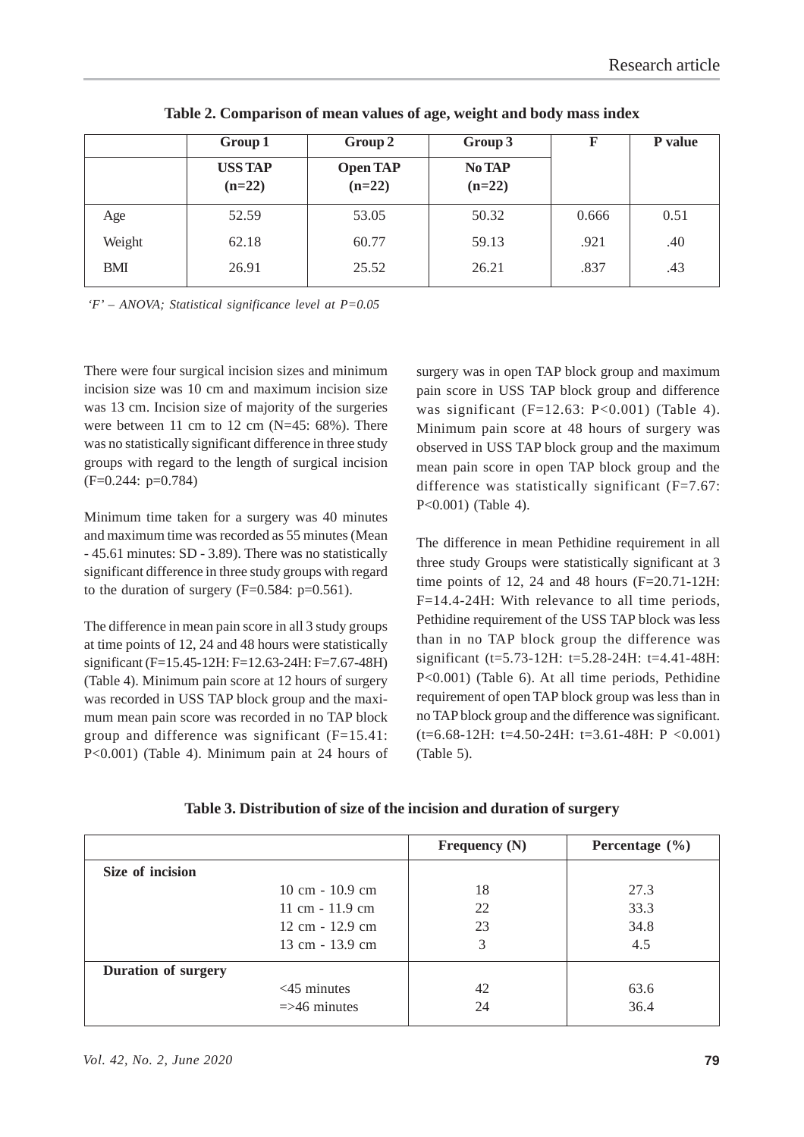|        | Group 1                    | Group 2                     | Group 3                   | F     | P value |
|--------|----------------------------|-----------------------------|---------------------------|-------|---------|
|        | <b>USS TAP</b><br>$(n=22)$ | <b>Open TAP</b><br>$(n=22)$ | <b>No TAP</b><br>$(n=22)$ |       |         |
| Age    | 52.59                      | 53.05                       | 50.32                     | 0.666 | 0.51    |
| Weight | 62.18                      | 60.77                       | 59.13                     | .921  | .40     |
| BMI    | 26.91                      | 25.52                       | 26.21                     | .837  | .43     |

**Table 2. Comparison of mean values of age, weight and body mass index**

*'F' – ANOVA; Statistical significance level at P=0.05*

There were four surgical incision sizes and minimum incision size was 10 cm and maximum incision size was 13 cm. Incision size of majority of the surgeries were between 11 cm to 12 cm (N=45: 68%). There was no statistically significant difference in three study groups with regard to the length of surgical incision (F=0.244: p=0.784)

Minimum time taken for a surgery was 40 minutes and maximum time was recorded as 55 minutes (Mean - 45.61 minutes: SD - 3.89). There was no statistically significant difference in three study groups with regard to the duration of surgery  $(F=0.584: p=0.561)$ .

The difference in mean pain score in all 3 study groups at time points of 12, 24 and 48 hours were statistically significant (F=15.45-12H: F=12.63-24H: F=7.67-48H) (Table 4). Minimum pain score at 12 hours of surgery was recorded in USS TAP block group and the maximum mean pain score was recorded in no TAP block group and difference was significant  $(F=15.41)$ : P<0.001) (Table 4). Minimum pain at 24 hours of

surgery was in open TAP block group and maximum pain score in USS TAP block group and difference was significant  $(F=12.63: P<0.001)$  (Table 4). Minimum pain score at 48 hours of surgery was observed in USS TAP block group and the maximum mean pain score in open TAP block group and the difference was statistically significant (F=7.67: P<0.001) (Table 4).

The difference in mean Pethidine requirement in all three study Groups were statistically significant at 3 time points of 12, 24 and 48 hours (F=20.71-12H: F=14.4-24H: With relevance to all time periods, Pethidine requirement of the USS TAP block was less than in no TAP block group the difference was significant (t=5.73-12H: t=5.28-24H: t=4.41-48H: P<0.001) (Table 6). At all time periods, Pethidine requirement of open TAP block group was less than in no TAP block group and the difference was significant.  $(t=6.68-12H: t=4.50-24H: t=3.61-48H: P < 0.001)$ (Table 5).

| Table 3. Distribution of size of the incision and duration of surgery |  |  |  |  |
|-----------------------------------------------------------------------|--|--|--|--|
|                                                                       |  |  |  |  |

|                            |                                   | Frequency $(N)$ | Percentage $(\% )$ |
|----------------------------|-----------------------------------|-----------------|--------------------|
| Size of incision           |                                   |                 |                    |
|                            | $10 \text{ cm} - 10.9 \text{ cm}$ | 18              | 27.3               |
|                            | 11 cm $-11.9$ cm                  | 22              | 33.3               |
|                            | $12 \text{ cm} - 12.9 \text{ cm}$ | 23              | 34.8               |
|                            | 13 cm - 13.9 cm                   | 3               | 4.5                |
| <b>Duration of surgery</b> |                                   |                 |                    |
|                            | $<$ 45 minutes                    | 42              | 63.6               |
|                            | $\Rightarrow$ 46 minutes          | 24              | 36.4               |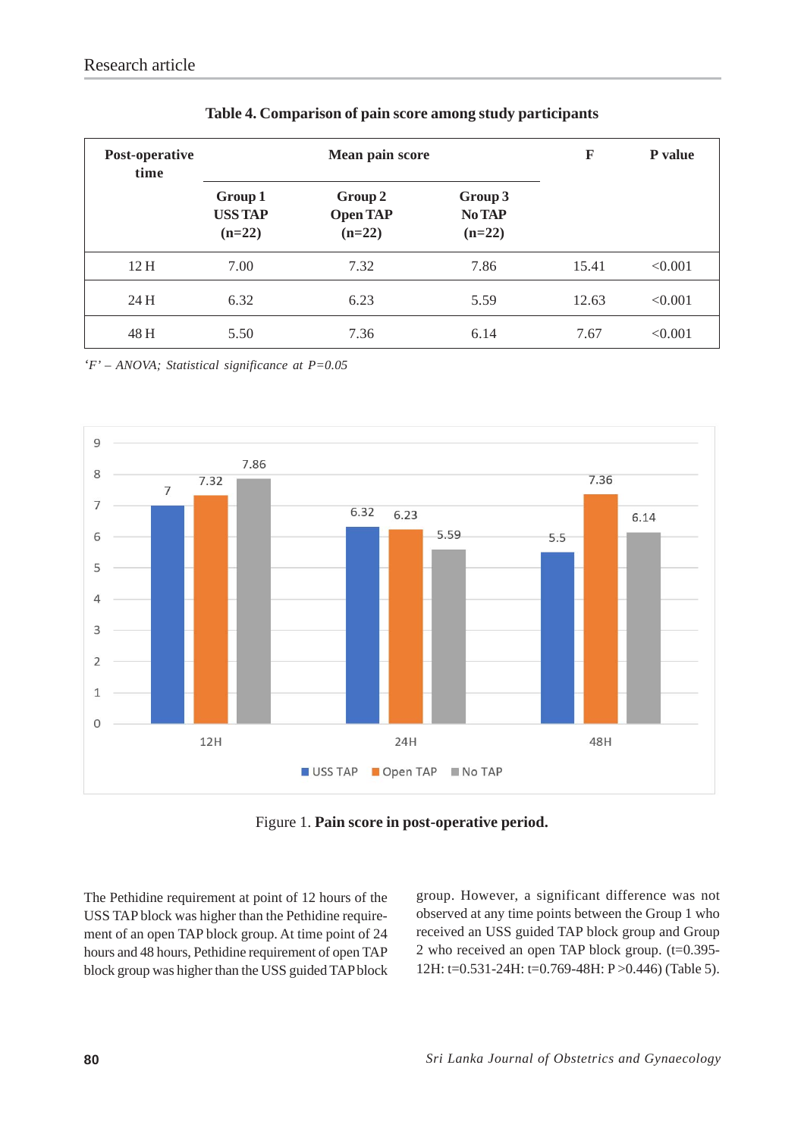| Post-operative<br>time |                                       | Mean pain score                        | F                                    | P value |         |
|------------------------|---------------------------------------|----------------------------------------|--------------------------------------|---------|---------|
|                        | Group 1<br><b>USS TAP</b><br>$(n=22)$ | Group 2<br><b>Open TAP</b><br>$(n=22)$ | Group 3<br><b>No TAP</b><br>$(n=22)$ |         |         |
| 12H                    | 7.00                                  | 7.32                                   | 7.86                                 | 15.41   | < 0.001 |
| 24 H                   | 6.32                                  | 6.23                                   | 5.59                                 | 12.63   | < 0.001 |
| 48 H                   | 5.50                                  | 7.36                                   | 6.14                                 | 7.67    | < 0.001 |

*'F' – ANOVA; Statistical significance at P=0.05*



Figure 1. **Pain score in post-operative period.**

The Pethidine requirement at point of 12 hours of the USS TAP block was higher than the Pethidine requirement of an open TAP block group. At time point of 24 hours and 48 hours, Pethidine requirement of open TAP block group was higher than the USS guided TAP block group. However, a significant difference was not observed at any time points between the Group 1 who received an USS guided TAP block group and Group 2 who received an open TAP block group. (t=0.395- 12H: t=0.531-24H: t=0.769-48H: P >0.446) (Table 5).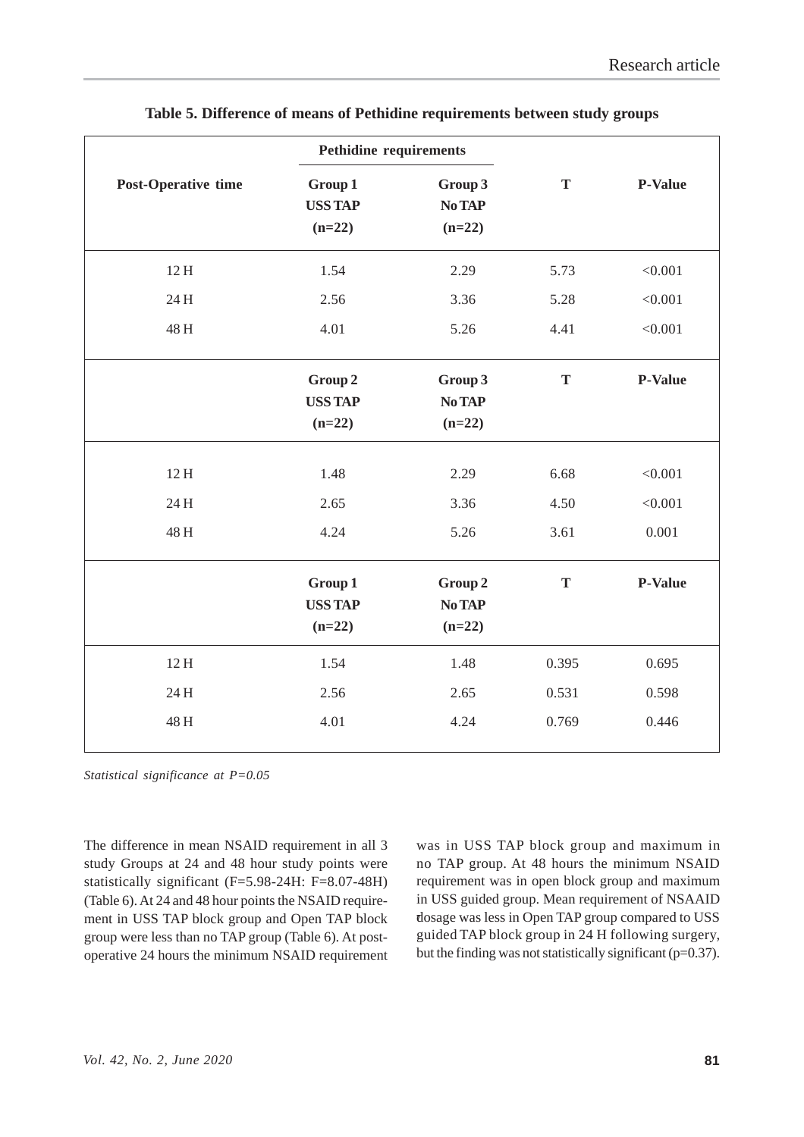|                     | <b>Pethidine requirements</b>         |                               |                      |                             |
|---------------------|---------------------------------------|-------------------------------|----------------------|-----------------------------|
| Post-Operative time | Group 1<br><b>USS TAP</b><br>$(n=22)$ | Group 3<br>No TAP<br>$(n=22)$ | T                    | <b>P-Value</b>              |
| 12H                 | 1.54                                  | 2.29                          | 5.73                 | < 0.001                     |
| 24 H                | 2.56                                  | 3.36                          | 5.28                 | < 0.001                     |
| 48 H                | 4.01                                  | 5.26                          | 4.41                 | < 0.001                     |
|                     | Group 2<br><b>USS TAP</b><br>$(n=22)$ | Group 3<br>No TAP<br>$(n=22)$ | $\mathbf T$          | P-Value                     |
| 12H<br>24 H<br>48 H | 1.48<br>2.65<br>4.24                  | 2.29<br>3.36<br>5.26          | 6.68<br>4.50<br>3.61 | < 0.001<br>< 0.001<br>0.001 |
|                     | Group 1<br><b>USS TAP</b><br>$(n=22)$ | Group 2<br>No TAP<br>$(n=22)$ | T                    | <b>P-Value</b>              |
| 12H                 | 1.54                                  | 1.48                          | 0.395                | 0.695                       |
| 24 H                | 2.56                                  | 2.65                          | 0.531                | 0.598                       |
| 48 H                | 4.01                                  | 4.24                          | 0.769                | 0.446                       |

|  |  | Table 5. Difference of means of Pethidine requirements between study groups |  |
|--|--|-----------------------------------------------------------------------------|--|
|  |  |                                                                             |  |

*Statistical significance at P=0.05*

The difference in mean NSAID requirement in all 3 study Groups at 24 and 48 hour study points were statistically significant (F=5.98-24H: F=8.07-48H) (Table 6). At 24 and 48 hour points the NSAID requirement in USS TAP block group and Open TAP block group were less than no TAP group (Table 6). At postoperative 24 hours the minimum NSAID requirement was in USS TAP block group and maximum in no TAP group. At 48 hours the minimum NSAID requirement was in open block group and maximum in USS guided group. Mean requirement of NSAAID dosage was less in Open TAP group compared to USS **7**guided TAP block group in 24 H following surgery, but the finding was not statistically significant ( $p=0.37$ ).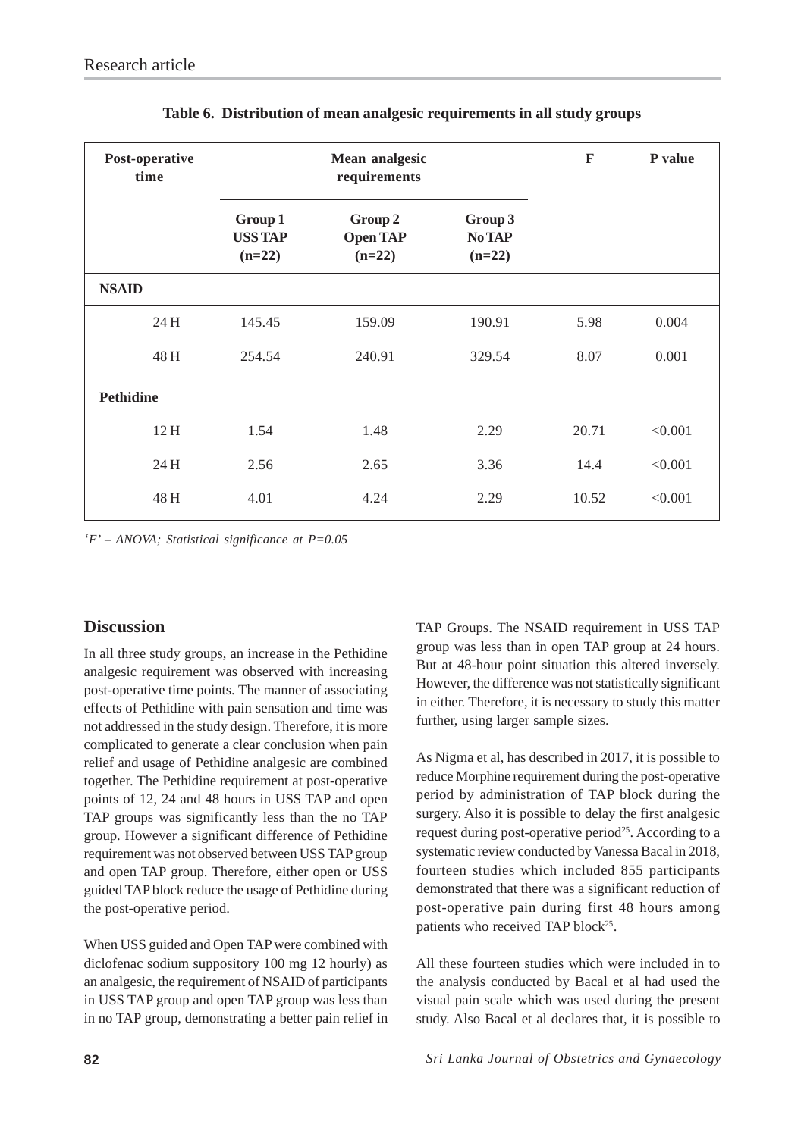| Post-operative<br>time | <b>Mean analgesic</b><br>requirements |                                        |                                      | $\mathbf F$ | P value |
|------------------------|---------------------------------------|----------------------------------------|--------------------------------------|-------------|---------|
|                        | Group 1<br><b>USS TAP</b><br>$(n=22)$ | Group 2<br><b>Open TAP</b><br>$(n=22)$ | Group 3<br><b>No TAP</b><br>$(n=22)$ |             |         |
| <b>NSAID</b>           |                                       |                                        |                                      |             |         |
| 24 H                   | 145.45                                | 159.09                                 | 190.91                               | 5.98        | 0.004   |
| 48 H                   | 254.54                                | 240.91                                 | 329.54                               | 8.07        | 0.001   |
| <b>Pethidine</b>       |                                       |                                        |                                      |             |         |
| 12H                    | 1.54                                  | 1.48                                   | 2.29                                 | 20.71       | < 0.001 |
| 24 H                   | 2.56                                  | 2.65                                   | 3.36                                 | 14.4        | < 0.001 |
| 48 H                   | 4.01                                  | 4.24                                   | 2.29                                 | 10.52       | < 0.001 |

#### **Table 6. Distribution of mean analgesic requirements in all study groups**

*'F' – ANOVA; Statistical significance at P=0.05*

## **Discussion**

In all three study groups, an increase in the Pethidine analgesic requirement was observed with increasing post-operative time points. The manner of associating effects of Pethidine with pain sensation and time was not addressed in the study design. Therefore, it is more complicated to generate a clear conclusion when pain relief and usage of Pethidine analgesic are combined together. The Pethidine requirement at post-operative points of 12, 24 and 48 hours in USS TAP and open TAP groups was significantly less than the no TAP group. However a significant difference of Pethidine requirement was not observed between USS TAP group and open TAP group. Therefore, either open or USS guided TAP block reduce the usage of Pethidine during the post-operative period.

When USS guided and Open TAP were combined with diclofenac sodium suppository 100 mg 12 hourly) as an analgesic, the requirement of NSAID of participants in USS TAP group and open TAP group was less than in no TAP group, demonstrating a better pain relief in TAP Groups. The NSAID requirement in USS TAP group was less than in open TAP group at 24 hours. But at 48-hour point situation this altered inversely. However, the difference was not statistically significant in either. Therefore, it is necessary to study this matter further, using larger sample sizes.

As Nigma et al, has described in 2017, it is possible to reduce Morphine requirement during the post-operative period by administration of TAP block during the surgery. Also it is possible to delay the first analgesic request during post-operative period<sup>25</sup>. According to a systematic review conducted by Vanessa Bacal in 2018, fourteen studies which included 855 participants demonstrated that there was a significant reduction of post-operative pain during first 48 hours among patients who received TAP block<sup>25</sup>.

All these fourteen studies which were included in to the analysis conducted by Bacal et al had used the visual pain scale which was used during the present study. Also Bacal et al declares that, it is possible to

**82** *Sri Lanka Journal of Obstetrics and Gynaecology*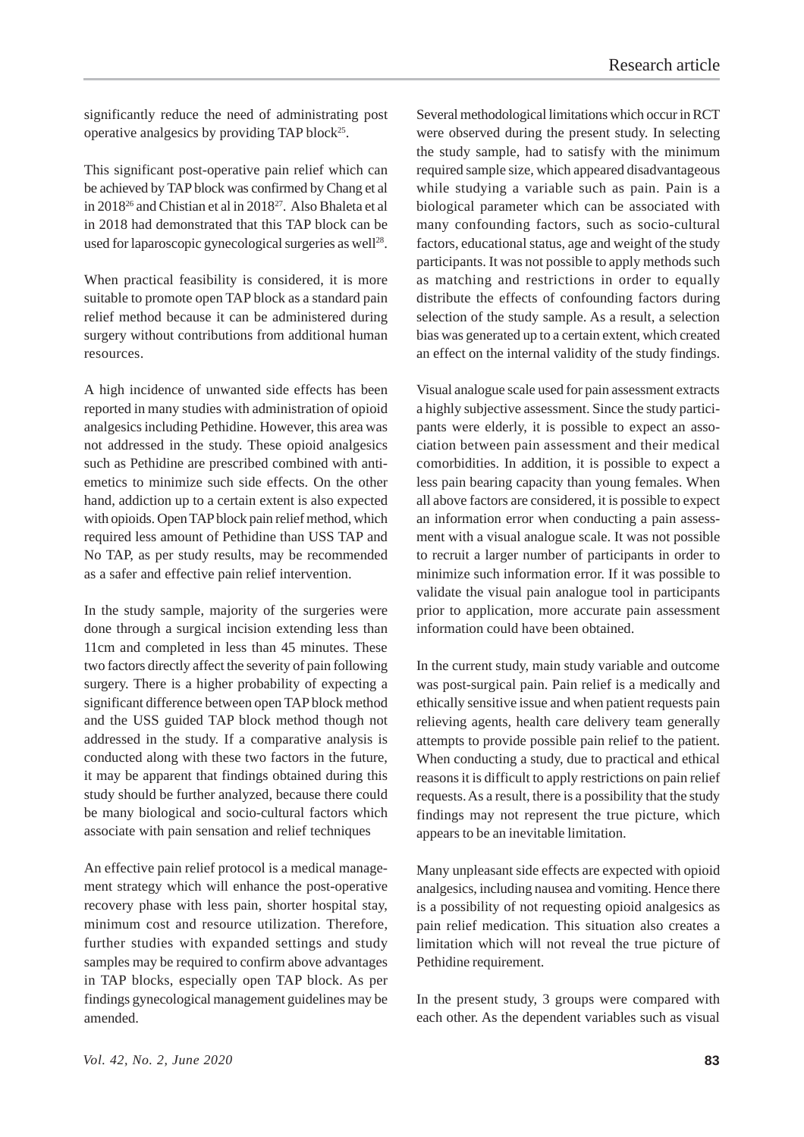significantly reduce the need of administrating post operative analgesics by providing TAP block<sup>25</sup>.

This significant post-operative pain relief which can be achieved by TAP block was confirmed by Chang et al in 201826 and Chistian et al in 201827. Also Bhaleta et al in 2018 had demonstrated that this TAP block can be used for laparoscopic gynecological surgeries as well $^{28}$ .

When practical feasibility is considered, it is more suitable to promote open TAP block as a standard pain relief method because it can be administered during surgery without contributions from additional human resources.

A high incidence of unwanted side effects has been reported in many studies with administration of opioid analgesics including Pethidine. However, this area was not addressed in the study. These opioid analgesics such as Pethidine are prescribed combined with antiemetics to minimize such side effects. On the other hand, addiction up to a certain extent is also expected with opioids. Open TAP block pain relief method, which required less amount of Pethidine than USS TAP and No TAP, as per study results, may be recommended as a safer and effective pain relief intervention.

In the study sample, majority of the surgeries were done through a surgical incision extending less than 11cm and completed in less than 45 minutes. These two factors directly affect the severity of pain following surgery. There is a higher probability of expecting a significant difference between open TAP block method and the USS guided TAP block method though not addressed in the study. If a comparative analysis is conducted along with these two factors in the future, it may be apparent that findings obtained during this study should be further analyzed, because there could be many biological and socio-cultural factors which associate with pain sensation and relief techniques

An effective pain relief protocol is a medical management strategy which will enhance the post-operative recovery phase with less pain, shorter hospital stay, minimum cost and resource utilization. Therefore, further studies with expanded settings and study samples may be required to confirm above advantages in TAP blocks, especially open TAP block. As per findings gynecological management guidelines may be amended.

Several methodological limitations which occur in RCT were observed during the present study. In selecting the study sample, had to satisfy with the minimum required sample size, which appeared disadvantageous while studying a variable such as pain. Pain is a biological parameter which can be associated with many confounding factors, such as socio-cultural factors, educational status, age and weight of the study participants. It was not possible to apply methods such as matching and restrictions in order to equally distribute the effects of confounding factors during selection of the study sample. As a result, a selection bias was generated up to a certain extent, which created an effect on the internal validity of the study findings.

Visual analogue scale used for pain assessment extracts a highly subjective assessment. Since the study participants were elderly, it is possible to expect an association between pain assessment and their medical comorbidities. In addition, it is possible to expect a less pain bearing capacity than young females. When all above factors are considered, it is possible to expect an information error when conducting a pain assessment with a visual analogue scale. It was not possible to recruit a larger number of participants in order to minimize such information error. If it was possible to validate the visual pain analogue tool in participants prior to application, more accurate pain assessment information could have been obtained.

In the current study, main study variable and outcome was post-surgical pain. Pain relief is a medically and ethically sensitive issue and when patient requests pain relieving agents, health care delivery team generally attempts to provide possible pain relief to the patient. When conducting a study, due to practical and ethical reasons it is difficult to apply restrictions on pain relief requests. As a result, there is a possibility that the study findings may not represent the true picture, which appears to be an inevitable limitation.

Many unpleasant side effects are expected with opioid analgesics, including nausea and vomiting. Hence there is a possibility of not requesting opioid analgesics as pain relief medication. This situation also creates a limitation which will not reveal the true picture of Pethidine requirement.

In the present study, 3 groups were compared with each other. As the dependent variables such as visual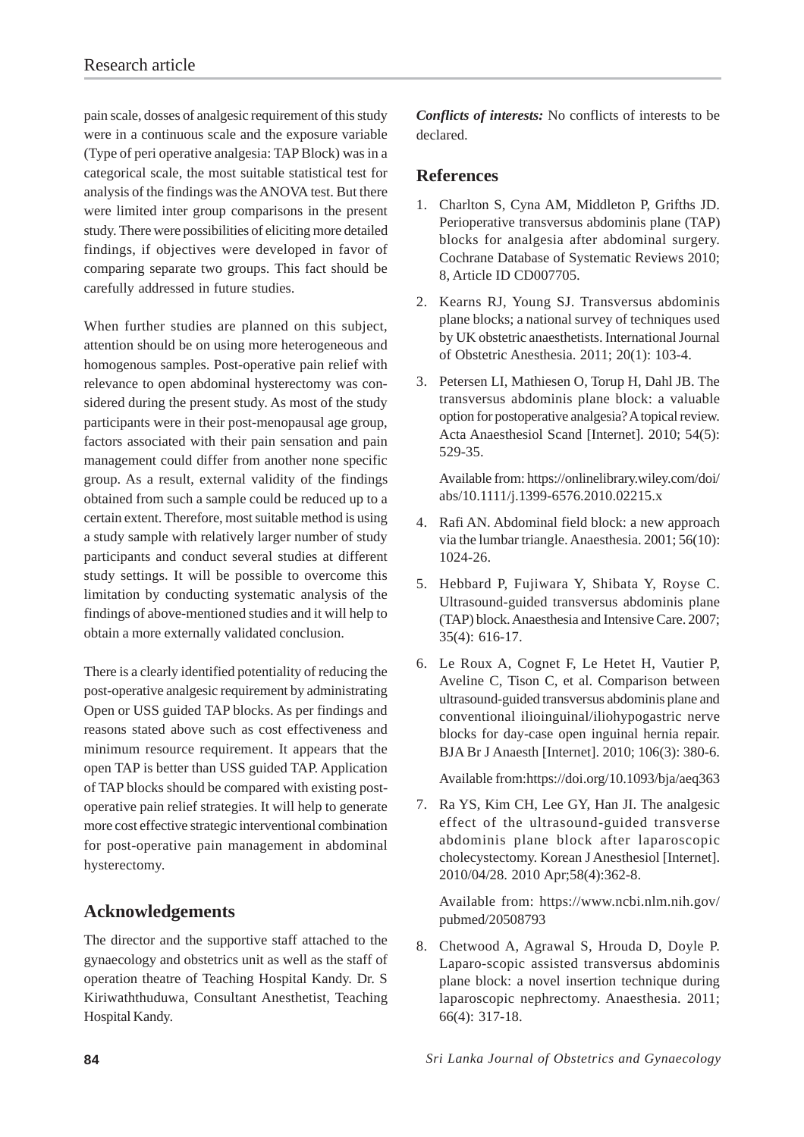pain scale, dosses of analgesic requirement of this study were in a continuous scale and the exposure variable (Type of peri operative analgesia: TAP Block) was in a categorical scale, the most suitable statistical test for analysis of the findings was the ANOVA test. But there were limited inter group comparisons in the present study. There were possibilities of eliciting more detailed findings, if objectives were developed in favor of comparing separate two groups. This fact should be carefully addressed in future studies.

When further studies are planned on this subject, attention should be on using more heterogeneous and homogenous samples. Post-operative pain relief with relevance to open abdominal hysterectomy was considered during the present study. As most of the study participants were in their post-menopausal age group, factors associated with their pain sensation and pain management could differ from another none specific group. As a result, external validity of the findings obtained from such a sample could be reduced up to a certain extent. Therefore, most suitable method is using a study sample with relatively larger number of study participants and conduct several studies at different study settings. It will be possible to overcome this limitation by conducting systematic analysis of the findings of above-mentioned studies and it will help to obtain a more externally validated conclusion.

There is a clearly identified potentiality of reducing the post-operative analgesic requirement by administrating Open or USS guided TAP blocks. As per findings and reasons stated above such as cost effectiveness and minimum resource requirement. It appears that the open TAP is better than USS guided TAP. Application of TAP blocks should be compared with existing postoperative pain relief strategies. It will help to generate more cost effective strategic interventional combination for post-operative pain management in abdominal hysterectomy.

## **Acknowledgements**

The director and the supportive staff attached to the gynaecology and obstetrics unit as well as the staff of operation theatre of Teaching Hospital Kandy. Dr. S Kiriwaththuduwa, Consultant Anesthetist, Teaching Hospital Kandy.

*Conflicts of interests:* No conflicts of interests to be declared.

#### **References**

- 1. Charlton S, Cyna AM, Middleton P, Grifths JD. Perioperative transversus abdominis plane (TAP) blocks for analgesia after abdominal surgery. Cochrane Database of Systematic Reviews 2010; 8, Article ID CD007705.
- 2. Kearns RJ, Young SJ. Transversus abdominis plane blocks; a national survey of techniques used by UK obstetric anaesthetists. International Journal of Obstetric Anesthesia. 2011; 20(1): 103-4.
- 3. Petersen LI, Mathiesen O, Torup H, Dahl JB. The transversus abdominis plane block: a valuable option for postoperative analgesia? A topical review. Acta Anaesthesiol Scand [Internet]. 2010; 54(5): 529-35.

Available from: https://onlinelibrary.wiley.com/doi/ abs/10.1111/j.1399-6576.2010.02215.x

- 4. Rafi AN. Abdominal field block: a new approach via the lumbar triangle. Anaesthesia. 2001; 56(10): 1024-26.
- 5. Hebbard P, Fujiwara Y, Shibata Y, Royse C. Ultrasound-guided transversus abdominis plane (TAP) block. Anaesthesia and Intensive Care. 2007; 35(4): 616-17.
- 6. Le Roux A, Cognet F, Le Hetet H, Vautier P, Aveline C, Tison C, et al. Comparison between ultrasound-guided transversus abdominis plane and conventional ilioinguinal/iliohypogastric nerve blocks for day-case open inguinal hernia repair. BJA Br J Anaesth [Internet]. 2010; 106(3): 380-6.

Available from:https://doi.org/10.1093/bja/aeq363

7. Ra YS, Kim CH, Lee GY, Han JI. The analgesic effect of the ultrasound-guided transverse abdominis plane block after laparoscopic cholecystectomy. Korean J Anesthesiol [Internet]. 2010/04/28. 2010 Apr;58(4):362-8.

Available from: https://www.ncbi.nlm.nih.gov/ pubmed/20508793

8. Chetwood A, Agrawal S, Hrouda D, Doyle P. Laparo-scopic assisted transversus abdominis plane block: a novel insertion technique during laparoscopic nephrectomy. Anaesthesia. 2011; 66(4): 317-18.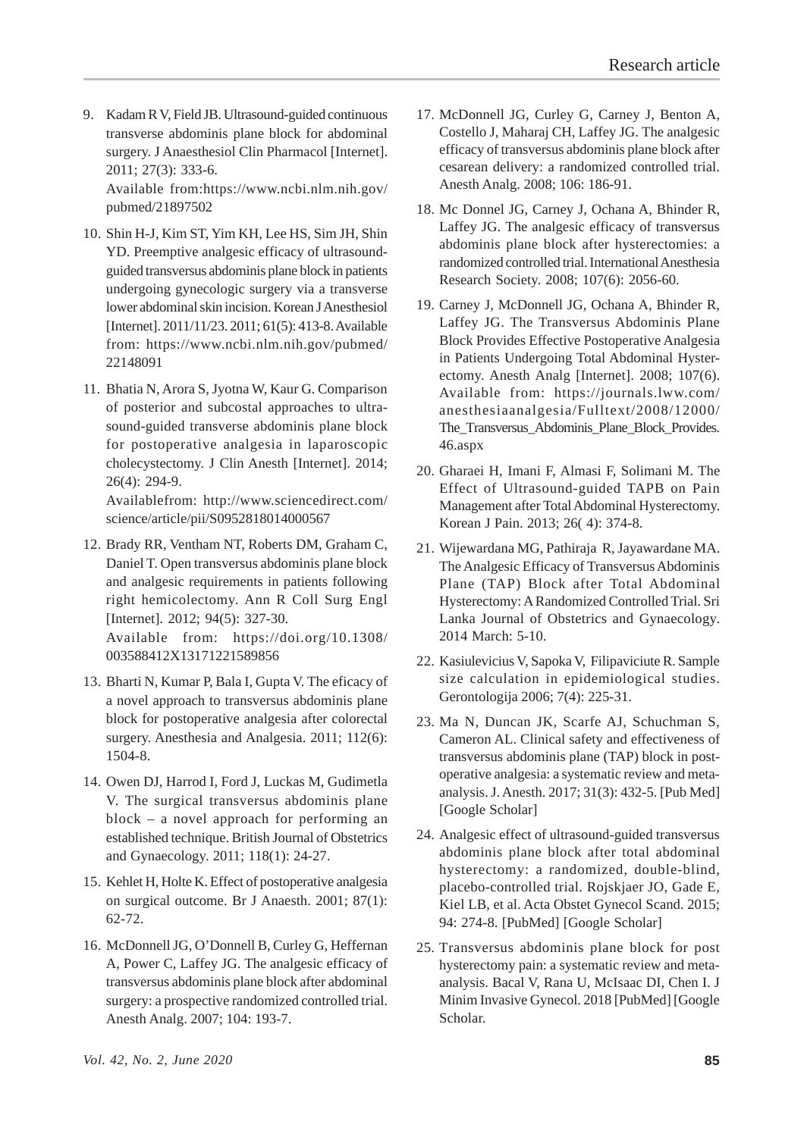9. Kadam R V, Field JB. Ultrasound-guided continuous transverse abdominis plane block for abdominal surgery. J Anaesthesiol Clin Pharmacol [Internet]. 2011; 27(3): 333-6. Available from:https://www.ncbi.nlm.nih.gov/

pubmed/21897502

10. Shin H-J, Kim ST, Yim KH, Lee HS, Sim JH, Shin YD. Preemptive analgesic efficacy of ultrasoundguided transversus abdominis plane block in patients undergoing gynecologic surgery via a transverse lower abdominal skin incision. Korean J Anesthesiol [Internet]. 2011/11/23. 2011; 61(5): 413-8. Available from: https://www.ncbi.nlm.nih.gov/pubmed/ 22148091

11. Bhatia N, Arora S, Jyotna W, Kaur G. Comparison of posterior and subcostal approaches to ultrasound-guided transverse abdominis plane block for postoperative analgesia in laparoscopic cholecystectomy. J Clin Anesth [Internet]. 2014; 26(4): 294-9.

Availablefrom: http://www.sciencedirect.com/ science/article/pii/S0952818014000567

12. Brady RR, Ventham NT, Roberts DM, Graham C, Daniel T. Open transversus abdominis plane block and analgesic requirements in patients following right hemicolectomy. Ann R Coll Surg Engl [Internet]. 2012; 94(5): 327-30.

Available from: https://doi.org/10.1308/ 003588412X13171221589856

- 13. Bharti N, Kumar P, Bala I, Gupta V. The eficacy of a novel approach to transversus abdominis plane block for postoperative analgesia after colorectal surgery. Anesthesia and Analgesia. 2011; 112(6): 1504-8.
- 14. Owen DJ, Harrod I, Ford J, Luckas M, Gudimetla V. The surgical transversus abdominis plane block – a novel approach for performing an established technique. British Journal of Obstetrics and Gynaecology. 2011; 118(1): 24-27.
- 15. Kehlet H, Holte K. Effect of postoperative analgesia on surgical outcome. Br J Anaesth. 2001; 87(1): 62-72.
- 16. McDonnell JG, O'Donnell B, Curley G, Heffernan A, Power C, Laffey JG. The analgesic efficacy of transversus abdominis plane block after abdominal surgery: a prospective randomized controlled trial. Anesth Analg. 2007; 104: 193-7.
- 17. McDonnell JG, Curley G, Carney J, Benton A, Costello J, Maharaj CH, Laffey JG. The analgesic efficacy of transversus abdominis plane block after cesarean delivery: a randomized controlled trial. Anesth Analg. 2008; 106: 186-91.
- 18. Mc Donnel JG, Carney J, Ochana A, Bhinder R, Laffey JG. The analgesic efficacy of transversus abdominis plane block after hysterectomies: a randomized controlled trial. International Anesthesia Research Society. 2008; 107(6): 2056-60.
- 19. Carney J, McDonnell JG, Ochana A, Bhinder R, Laffey JG. The Transversus Abdominis Plane Block Provides Effective Postoperative Analgesia in Patients Undergoing Total Abdominal Hysterectomy. Anesth Analg [Internet]. 2008; 107(6). Available from: https://journals.lww.com/ anesthesiaanalgesia/Fulltext/2008/12000/ The Transversus Abdominis Plane Block Provides. 46.aspx
- 20. Gharaei H, Imani F, Almasi F, Solimani M. The Effect of Ultrasound-guided TAPB on Pain Management after Total Abdominal Hysterectomy. Korean J Pain. 2013; 26( 4): 374-8.
- 21. Wijewardana MG, Pathiraja R, Jayawardane MA. The Analgesic Efficacy of Transversus Abdominis Plane (TAP) Block after Total Abdominal Hysterectomy: A Randomized Controlled Trial. Sri Lanka Journal of Obstetrics and Gynaecology. 2014 March: 5-10.
- 22. Kasiulevicius V, Sapoka V, Filipaviciute R. Sample size calculation in epidemiological studies. Gerontologija 2006; 7(4): 225-31.
- 23. Ma N, Duncan JK, Scarfe AJ, Schuchman S, Cameron AL. Clinical safety and effectiveness of transversus abdominis plane (TAP) block in postoperative analgesia: a systematic review and metaanalysis. J. Anesth. 2017; 31(3): 432-5. [Pub Med] [Google Scholar]
- 24. Analgesic effect of ultrasound-guided transversus abdominis plane block after total abdominal hysterectomy: a randomized, double-blind, placebo-controlled trial. Rojskjaer JO, Gade E, Kiel LB, et al. Acta Obstet Gynecol Scand. 2015; 94: 274-8. [PubMed] [Google Scholar]
- 25. Transversus abdominis plane block for post hysterectomy pain: a systematic review and metaanalysis. Bacal V, Rana U, McIsaac DI, Chen I. J Minim Invasive Gynecol. 2018 [PubMed] [Google Scholar.